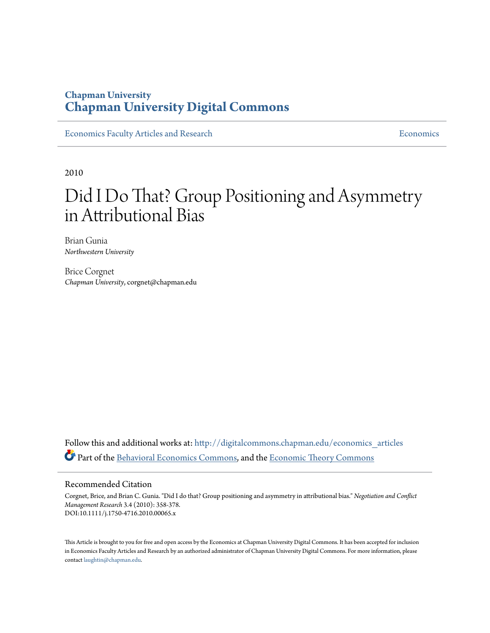# **Chapman University [Chapman University Digital Commons](http://digitalcommons.chapman.edu?utm_source=digitalcommons.chapman.edu%2Feconomics_articles%2F162&utm_medium=PDF&utm_campaign=PDFCoverPages)**

[Economics Faculty Articles and Research](http://digitalcommons.chapman.edu/economics_articles?utm_source=digitalcommons.chapman.edu%2Feconomics_articles%2F162&utm_medium=PDF&utm_campaign=PDFCoverPages) **[Economics](http://digitalcommons.chapman.edu/economics?utm_source=digitalcommons.chapman.edu%2Feconomics_articles%2F162&utm_medium=PDF&utm_campaign=PDFCoverPages)** Economics

2010

# Did I Do That? Group Positioning and Asymmetry in Attributional Bias

Brian Gunia *Northwestern University*

Brice Corgnet *Chapman University*, corgnet@chapman.edu

Follow this and additional works at: [http://digitalcommons.chapman.edu/economics\\_articles](http://digitalcommons.chapman.edu/economics_articles?utm_source=digitalcommons.chapman.edu%2Feconomics_articles%2F162&utm_medium=PDF&utm_campaign=PDFCoverPages) Part of the [Behavioral Economics Commons](http://network.bepress.com/hgg/discipline/341?utm_source=digitalcommons.chapman.edu%2Feconomics_articles%2F162&utm_medium=PDF&utm_campaign=PDFCoverPages), and the [Economic Theory Commons](http://network.bepress.com/hgg/discipline/344?utm_source=digitalcommons.chapman.edu%2Feconomics_articles%2F162&utm_medium=PDF&utm_campaign=PDFCoverPages)

#### Recommended Citation

Corgnet, Brice, and Brian C. Gunia. "Did I do that? Group positioning and asymmetry in attributional bias." *Negotiation and Conflict Management Research* 3.4 (2010): 358-378. DOI:10.1111/j.1750-4716.2010.00065.x

This Article is brought to you for free and open access by the Economics at Chapman University Digital Commons. It has been accepted for inclusion in Economics Faculty Articles and Research by an authorized administrator of Chapman University Digital Commons. For more information, please contact [laughtin@chapman.edu](mailto:laughtin@chapman.edu).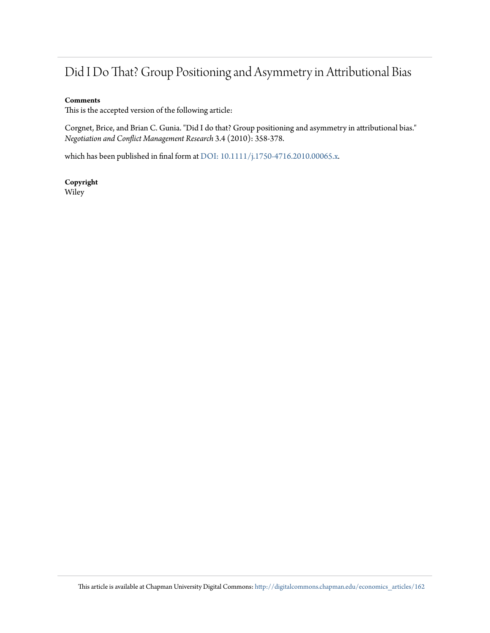# Did I Do That? Group Positioning and Asymmetry in Attributional Bias

#### **Comments**

This is the accepted version of the following article:

Corgnet, Brice, and Brian C. Gunia. "Did I do that? Group positioning and asymmetry in attributional bias." *Negotiation and Conflict Management Research* 3.4 (2010): 358-378.

which has been published in final form at [DOI: 10.1111/j.1750-4716.2010.00065.x](http://dx.doi.org/10.1111/j.1750-4716.2010.00065.x).

**Copyright** Wiley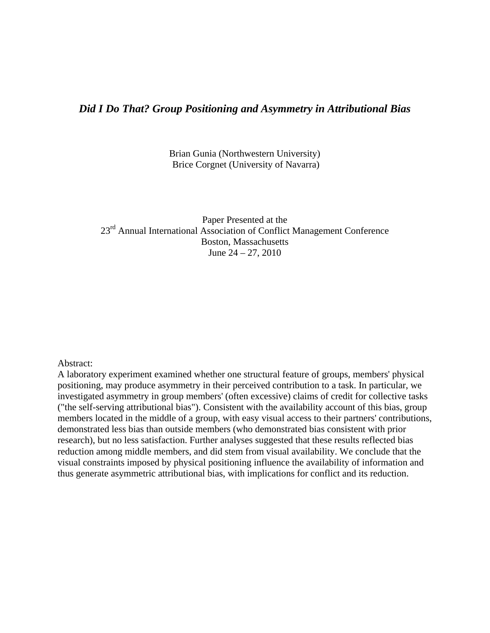# *Did I Do That? Group Positioning and Asymmetry in Attributional Bias*

Brian Gunia (Northwestern University) Brice Corgnet (University of Navarra)

Paper Presented at the 23<sup>rd</sup> Annual International Association of Conflict Management Conference Boston, Massachusetts June 24 – 27, 2010

#### Abstract:

A laboratory experiment examined whether one structural feature of groups, members' physical positioning, may produce asymmetry in their perceived contribution to a task. In particular, we investigated asymmetry in group members' (often excessive) claims of credit for collective tasks ("the self-serving attributional bias"). Consistent with the availability account of this bias, group members located in the middle of a group, with easy visual access to their partners' contributions, demonstrated less bias than outside members (who demonstrated bias consistent with prior research), but no less satisfaction. Further analyses suggested that these results reflected bias reduction among middle members, and did stem from visual availability. We conclude that the visual constraints imposed by physical positioning influence the availability of information and thus generate asymmetric attributional bias, with implications for conflict and its reduction.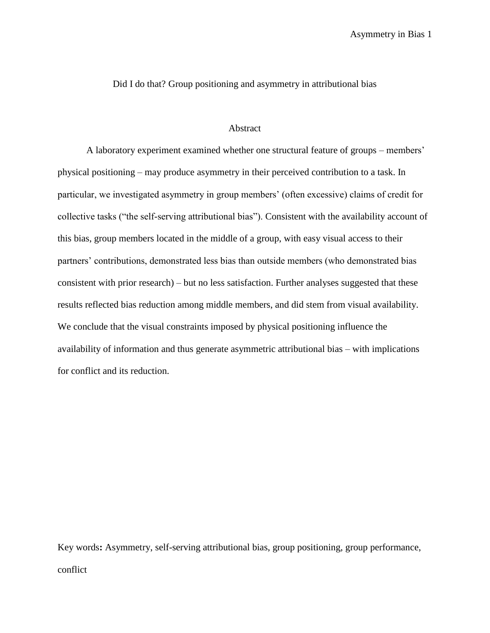Did I do that? Group positioning and asymmetry in attributional bias

#### Abstract

A laboratory experiment examined whether one structural feature of groups – members' physical positioning – may produce asymmetry in their perceived contribution to a task. In particular, we investigated asymmetry in group members' (often excessive) claims of credit for collective tasks ("the self-serving attributional bias"). Consistent with the availability account of this bias, group members located in the middle of a group, with easy visual access to their partners' contributions, demonstrated less bias than outside members (who demonstrated bias consistent with prior research) – but no less satisfaction. Further analyses suggested that these results reflected bias reduction among middle members, and did stem from visual availability. We conclude that the visual constraints imposed by physical positioning influence the availability of information and thus generate asymmetric attributional bias – with implications for conflict and its reduction.

Key words**:** Asymmetry, self-serving attributional bias, group positioning, group performance, conflict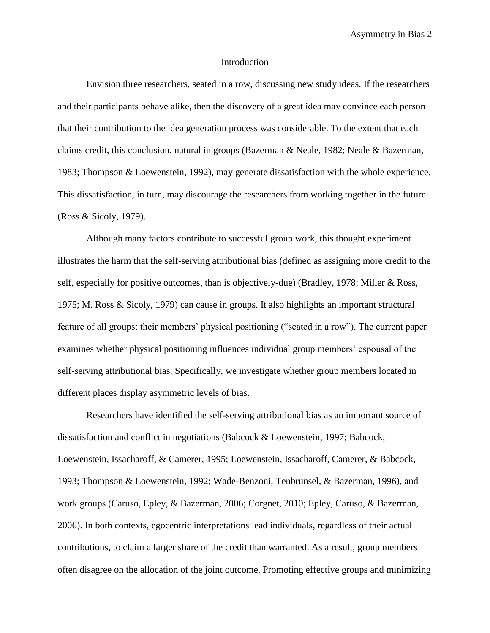#### Introduction

Envision three researchers, seated in a row, discussing new study ideas. If the researchers and their participants behave alike, then the discovery of a great idea may convince each person that their contribution to the idea generation process was considerable. To the extent that each claims credit, this conclusion, natural in groups (Bazerman & Neale, 1982; Neale & Bazerman, 1983; Thompson & Loewenstein, 1992), may generate dissatisfaction with the whole experience. This dissatisfaction, in turn, may discourage the researchers from working together in the future (Ross & Sicoly, 1979).

Although many factors contribute to successful group work, this thought experiment illustrates the harm that the self-serving attributional bias (defined as assigning more credit to the self, especially for positive outcomes, than is objectively-due) (Bradley, 1978; Miller & Ross, 1975; M. Ross & Sicoly, 1979) can cause in groups. It also highlights an important structural feature of all groups: their members' physical positioning ("seated in a row"). The current paper examines whether physical positioning influences individual group members' espousal of the self-serving attributional bias. Specifically, we investigate whether group members located in different places display asymmetric levels of bias.

Researchers have identified the self-serving attributional bias as an important source of dissatisfaction and conflict in negotiations (Babcock & Loewenstein, 1997; Babcock, Loewenstein, Issacharoff, & Camerer, 1995; Loewenstein, Issacharoff, Camerer, & Babcock, 1993; Thompson & Loewenstein, 1992; Wade-Benzoni, Tenbrunsel, & Bazerman, 1996), and work groups (Caruso, Epley, & Bazerman, 2006; Corgnet, 2010; Epley, Caruso, & Bazerman, 2006). In both contexts, egocentric interpretations lead individuals, regardless of their actual contributions, to claim a larger share of the credit than warranted. As a result, group members often disagree on the allocation of the joint outcome. Promoting effective groups and minimizing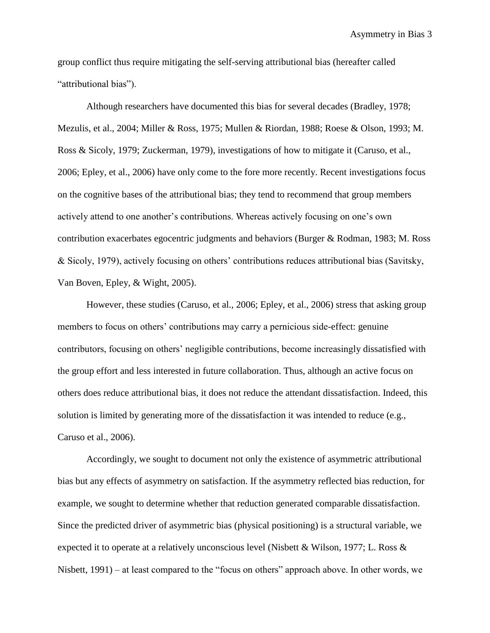group conflict thus require mitigating the self-serving attributional bias (hereafter called "attributional bias").

Although researchers have documented this bias for several decades (Bradley, 1978; Mezulis, et al., 2004; Miller & Ross, 1975; Mullen & Riordan, 1988; Roese & Olson, 1993; M. Ross & Sicoly, 1979; Zuckerman, 1979), investigations of how to mitigate it (Caruso, et al., 2006; Epley, et al., 2006) have only come to the fore more recently. Recent investigations focus on the cognitive bases of the attributional bias; they tend to recommend that group members actively attend to one another's contributions. Whereas actively focusing on one's own contribution exacerbates egocentric judgments and behaviors (Burger & Rodman, 1983; M. Ross & Sicoly, 1979), actively focusing on others' contributions reduces attributional bias (Savitsky, Van Boven, Epley, & Wight, 2005).

However, these studies (Caruso, et al., 2006; Epley, et al., 2006) stress that asking group members to focus on others' contributions may carry a pernicious side-effect: genuine contributors, focusing on others' negligible contributions, become increasingly dissatisfied with the group effort and less interested in future collaboration. Thus, although an active focus on others does reduce attributional bias, it does not reduce the attendant dissatisfaction. Indeed, this solution is limited by generating more of the dissatisfaction it was intended to reduce (e.g., Caruso et al., 2006).

Accordingly, we sought to document not only the existence of asymmetric attributional bias but any effects of asymmetry on satisfaction. If the asymmetry reflected bias reduction, for example, we sought to determine whether that reduction generated comparable dissatisfaction. Since the predicted driver of asymmetric bias (physical positioning) is a structural variable, we expected it to operate at a relatively unconscious level (Nisbett & Wilson, 1977; L. Ross & Nisbett, 1991) – at least compared to the "focus on others" approach above. In other words, we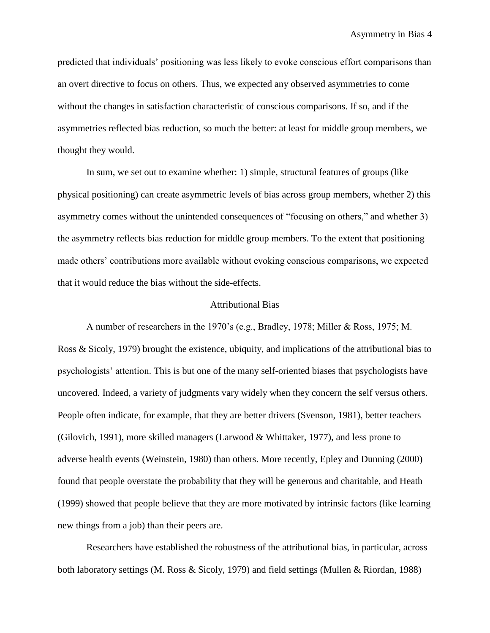predicted that individuals' positioning was less likely to evoke conscious effort comparisons than an overt directive to focus on others. Thus, we expected any observed asymmetries to come without the changes in satisfaction characteristic of conscious comparisons. If so, and if the asymmetries reflected bias reduction, so much the better: at least for middle group members, we thought they would.

In sum, we set out to examine whether: 1) simple, structural features of groups (like physical positioning) can create asymmetric levels of bias across group members, whether 2) this asymmetry comes without the unintended consequences of "focusing on others," and whether 3) the asymmetry reflects bias reduction for middle group members. To the extent that positioning made others' contributions more available without evoking conscious comparisons, we expected that it would reduce the bias without the side-effects.

#### Attributional Bias

A number of researchers in the 1970's (e.g., Bradley, 1978; Miller & Ross, 1975; M. Ross & Sicoly, 1979) brought the existence, ubiquity, and implications of the attributional bias to psychologists' attention. This is but one of the many self-oriented biases that psychologists have uncovered. Indeed, a variety of judgments vary widely when they concern the self versus others. People often indicate, for example, that they are better drivers (Svenson, 1981), better teachers (Gilovich, 1991), more skilled managers (Larwood & Whittaker, 1977), and less prone to adverse health events (Weinstein, 1980) than others. More recently, Epley and Dunning (2000) found that people overstate the probability that they will be generous and charitable, and Heath (1999) showed that people believe that they are more motivated by intrinsic factors (like learning new things from a job) than their peers are.

Researchers have established the robustness of the attributional bias, in particular, across both laboratory settings (M. Ross & Sicoly, 1979) and field settings (Mullen & Riordan, 1988)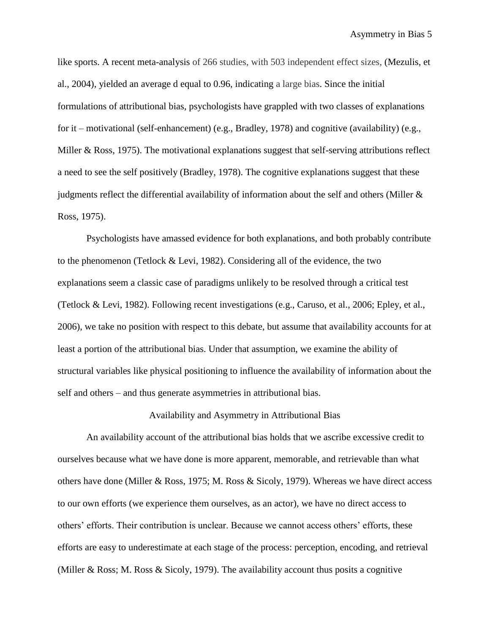like sports. A recent meta-analysis of 266 studies, with 503 independent effect sizes, (Mezulis, et al., 2004), yielded an average d equal to 0.96, indicating a large bias. Since the initial formulations of attributional bias, psychologists have grappled with two classes of explanations for it – motivational (self-enhancement) (e.g., Bradley, 1978) and cognitive (availability) (e.g., Miller & Ross, 1975). The motivational explanations suggest that self-serving attributions reflect a need to see the self positively (Bradley, 1978). The cognitive explanations suggest that these judgments reflect the differential availability of information about the self and others (Miller & Ross, 1975).

Psychologists have amassed evidence for both explanations, and both probably contribute to the phenomenon (Tetlock  $& Levi$ , 1982). Considering all of the evidence, the two explanations seem a classic case of paradigms unlikely to be resolved through a critical test (Tetlock & Levi, 1982). Following recent investigations (e.g., Caruso, et al., 2006; Epley, et al., 2006), we take no position with respect to this debate, but assume that availability accounts for at least a portion of the attributional bias. Under that assumption, we examine the ability of structural variables like physical positioning to influence the availability of information about the self and others – and thus generate asymmetries in attributional bias.

#### Availability and Asymmetry in Attributional Bias

An availability account of the attributional bias holds that we ascribe excessive credit to ourselves because what we have done is more apparent, memorable, and retrievable than what others have done (Miller & Ross, 1975; M. Ross & Sicoly, 1979). Whereas we have direct access to our own efforts (we experience them ourselves, as an actor), we have no direct access to others' efforts. Their contribution is unclear. Because we cannot access others' efforts, these efforts are easy to underestimate at each stage of the process: perception, encoding, and retrieval (Miller & Ross; M. Ross & Sicoly, 1979). The availability account thus posits a cognitive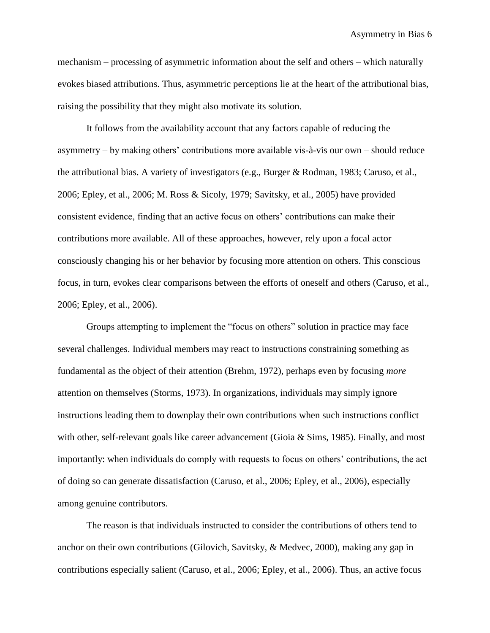mechanism – processing of asymmetric information about the self and others – which naturally evokes biased attributions. Thus, asymmetric perceptions lie at the heart of the attributional bias, raising the possibility that they might also motivate its solution.

It follows from the availability account that any factors capable of reducing the asymmetry – by making others' contributions more available vis-à-vis our own – should reduce the attributional bias. A variety of investigators (e.g., Burger & Rodman, 1983; Caruso, et al., 2006; Epley, et al., 2006; M. Ross & Sicoly, 1979; Savitsky, et al., 2005) have provided consistent evidence, finding that an active focus on others' contributions can make their contributions more available. All of these approaches, however, rely upon a focal actor consciously changing his or her behavior by focusing more attention on others. This conscious focus, in turn, evokes clear comparisons between the efforts of oneself and others (Caruso, et al., 2006; Epley, et al., 2006).

Groups attempting to implement the "focus on others" solution in practice may face several challenges. Individual members may react to instructions constraining something as fundamental as the object of their attention (Brehm, 1972), perhaps even by focusing *more* attention on themselves (Storms, 1973). In organizations, individuals may simply ignore instructions leading them to downplay their own contributions when such instructions conflict with other, self-relevant goals like career advancement (Gioia & Sims, 1985). Finally, and most importantly: when individuals do comply with requests to focus on others' contributions, the act of doing so can generate dissatisfaction (Caruso, et al., 2006; Epley, et al., 2006), especially among genuine contributors.

The reason is that individuals instructed to consider the contributions of others tend to anchor on their own contributions (Gilovich, Savitsky, & Medvec, 2000), making any gap in contributions especially salient (Caruso, et al., 2006; Epley, et al., 2006). Thus, an active focus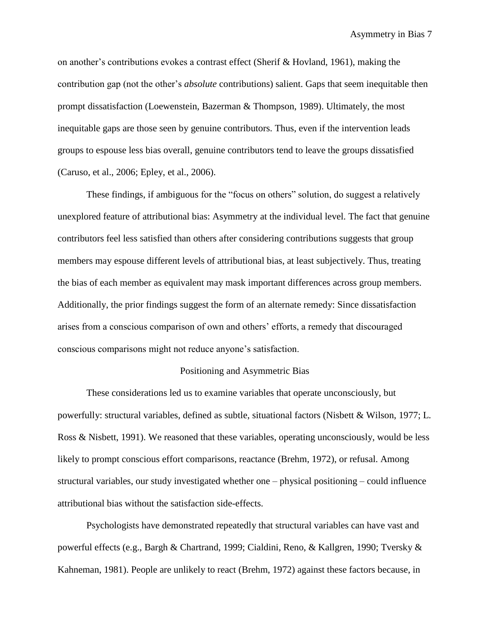on another's contributions evokes a contrast effect (Sherif & Hovland, 1961), making the contribution gap (not the other's *absolute* contributions) salient. Gaps that seem inequitable then prompt dissatisfaction (Loewenstein, Bazerman & Thompson, 1989). Ultimately, the most inequitable gaps are those seen by genuine contributors. Thus, even if the intervention leads groups to espouse less bias overall, genuine contributors tend to leave the groups dissatisfied (Caruso, et al., 2006; Epley, et al., 2006).

These findings, if ambiguous for the "focus on others" solution, do suggest a relatively unexplored feature of attributional bias: Asymmetry at the individual level. The fact that genuine contributors feel less satisfied than others after considering contributions suggests that group members may espouse different levels of attributional bias, at least subjectively. Thus, treating the bias of each member as equivalent may mask important differences across group members. Additionally, the prior findings suggest the form of an alternate remedy: Since dissatisfaction arises from a conscious comparison of own and others' efforts, a remedy that discouraged conscious comparisons might not reduce anyone's satisfaction.

#### Positioning and Asymmetric Bias

These considerations led us to examine variables that operate unconsciously, but powerfully: structural variables, defined as subtle, situational factors (Nisbett & Wilson, 1977; L. Ross & Nisbett, 1991). We reasoned that these variables, operating unconsciously, would be less likely to prompt conscious effort comparisons, reactance (Brehm, 1972), or refusal. Among structural variables, our study investigated whether one – physical positioning – could influence attributional bias without the satisfaction side-effects.

Psychologists have demonstrated repeatedly that structural variables can have vast and powerful effects (e.g., Bargh & Chartrand, 1999; Cialdini, Reno, & Kallgren, 1990; Tversky & Kahneman, 1981). People are unlikely to react (Brehm, 1972) against these factors because, in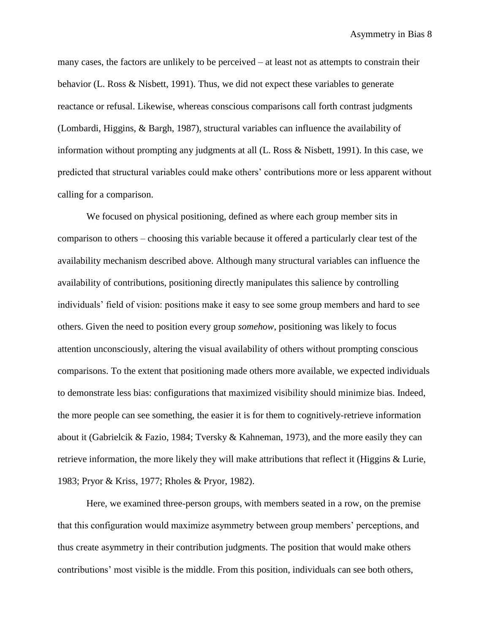many cases, the factors are unlikely to be perceived – at least not as attempts to constrain their behavior (L. Ross & Nisbett, 1991). Thus, we did not expect these variables to generate reactance or refusal. Likewise, whereas conscious comparisons call forth contrast judgments (Lombardi, Higgins, & Bargh, 1987), structural variables can influence the availability of information without prompting any judgments at all (L. Ross & Nisbett, 1991). In this case, we predicted that structural variables could make others' contributions more or less apparent without calling for a comparison.

We focused on physical positioning, defined as where each group member sits in comparison to others – choosing this variable because it offered a particularly clear test of the availability mechanism described above. Although many structural variables can influence the availability of contributions, positioning directly manipulates this salience by controlling individuals' field of vision: positions make it easy to see some group members and hard to see others. Given the need to position every group *somehow*, positioning was likely to focus attention unconsciously, altering the visual availability of others without prompting conscious comparisons. To the extent that positioning made others more available, we expected individuals to demonstrate less bias: configurations that maximized visibility should minimize bias. Indeed, the more people can see something, the easier it is for them to cognitively-retrieve information about it (Gabrielcik & Fazio, 1984; Tversky & Kahneman, 1973), and the more easily they can retrieve information, the more likely they will make attributions that reflect it (Higgins & Lurie, 1983; Pryor & Kriss, 1977; Rholes & Pryor, 1982).

Here, we examined three-person groups, with members seated in a row, on the premise that this configuration would maximize asymmetry between group members' perceptions, and thus create asymmetry in their contribution judgments. The position that would make others contributions' most visible is the middle. From this position, individuals can see both others,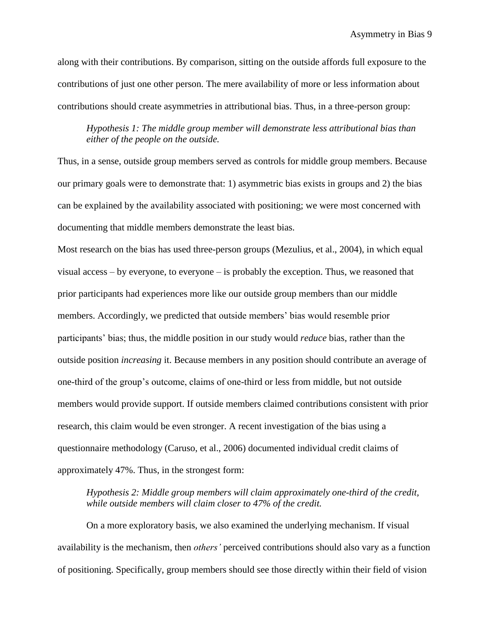along with their contributions. By comparison, sitting on the outside affords full exposure to the contributions of just one other person. The mere availability of more or less information about contributions should create asymmetries in attributional bias. Thus, in a three-person group:

*Hypothesis 1: The middle group member will demonstrate less attributional bias than either of the people on the outside.*

Thus, in a sense, outside group members served as controls for middle group members. Because our primary goals were to demonstrate that: 1) asymmetric bias exists in groups and 2) the bias can be explained by the availability associated with positioning; we were most concerned with documenting that middle members demonstrate the least bias.

Most research on the bias has used three-person groups (Mezulius, et al., 2004), in which equal visual access – by everyone, to everyone – is probably the exception. Thus, we reasoned that prior participants had experiences more like our outside group members than our middle members. Accordingly, we predicted that outside members' bias would resemble prior participants' bias; thus, the middle position in our study would *reduce* bias, rather than the outside position *increasing* it. Because members in any position should contribute an average of one-third of the group's outcome, claims of one-third or less from middle, but not outside members would provide support. If outside members claimed contributions consistent with prior research, this claim would be even stronger. A recent investigation of the bias using a questionnaire methodology (Caruso, et al., 2006) documented individual credit claims of approximately 47%. Thus, in the strongest form:

*Hypothesis 2: Middle group members will claim approximately one-third of the credit, while outside members will claim closer to 47% of the credit.*

On a more exploratory basis, we also examined the underlying mechanism. If visual availability is the mechanism, then *others'* perceived contributions should also vary as a function of positioning. Specifically, group members should see those directly within their field of vision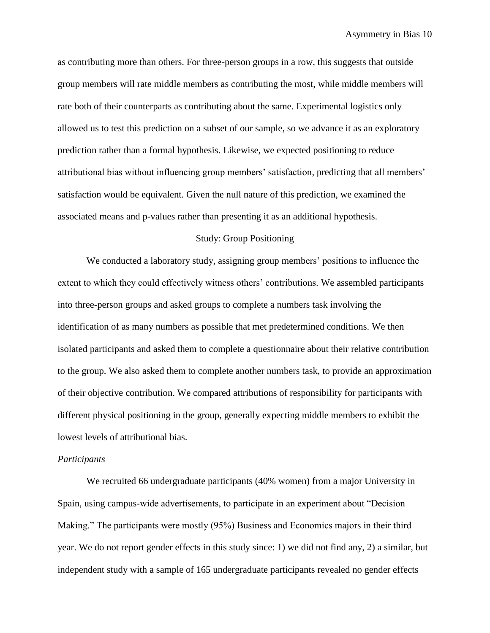as contributing more than others. For three-person groups in a row, this suggests that outside group members will rate middle members as contributing the most, while middle members will rate both of their counterparts as contributing about the same. Experimental logistics only allowed us to test this prediction on a subset of our sample, so we advance it as an exploratory prediction rather than a formal hypothesis. Likewise, we expected positioning to reduce attributional bias without influencing group members' satisfaction, predicting that all members' satisfaction would be equivalent. Given the null nature of this prediction, we examined the associated means and p-values rather than presenting it as an additional hypothesis.

#### Study: Group Positioning

We conducted a laboratory study, assigning group members' positions to influence the extent to which they could effectively witness others' contributions. We assembled participants into three-person groups and asked groups to complete a numbers task involving the identification of as many numbers as possible that met predetermined conditions. We then isolated participants and asked them to complete a questionnaire about their relative contribution to the group. We also asked them to complete another numbers task, to provide an approximation of their objective contribution. We compared attributions of responsibility for participants with different physical positioning in the group, generally expecting middle members to exhibit the lowest levels of attributional bias.

#### *Participants*

We recruited 66 undergraduate participants (40% women) from a major University in Spain, using campus-wide advertisements, to participate in an experiment about "Decision Making." The participants were mostly (95%) Business and Economics majors in their third year. We do not report gender effects in this study since: 1) we did not find any, 2) a similar, but independent study with a sample of 165 undergraduate participants revealed no gender effects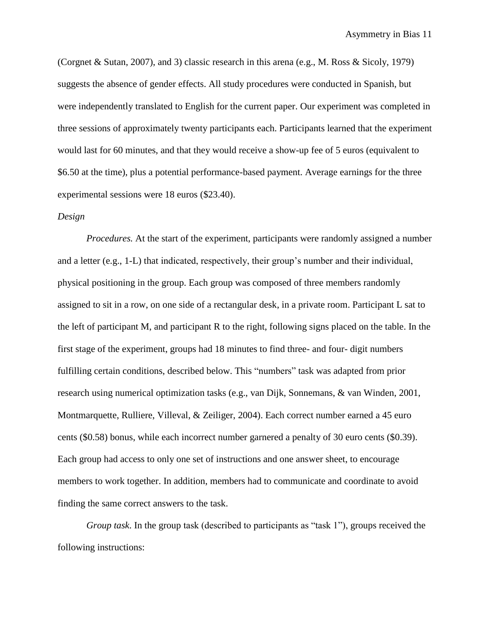(Corgnet & Sutan, 2007), and 3) classic research in this arena (e.g., M. Ross & Sicoly, 1979) suggests the absence of gender effects. All study procedures were conducted in Spanish, but were independently translated to English for the current paper. Our experiment was completed in three sessions of approximately twenty participants each. Participants learned that the experiment would last for 60 minutes, and that they would receive a show-up fee of 5 euros (equivalent to \$6.50 at the time), plus a potential performance-based payment. Average earnings for the three experimental sessions were 18 euros (\$23.40).

#### *Design*

*Procedures.* At the start of the experiment, participants were randomly assigned a number and a letter (e.g., 1-L) that indicated, respectively, their group's number and their individual, physical positioning in the group. Each group was composed of three members randomly assigned to sit in a row, on one side of a rectangular desk, in a private room. Participant L sat to the left of participant M, and participant R to the right, following signs placed on the table. In the first stage of the experiment, groups had 18 minutes to find three- and four- digit numbers fulfilling certain conditions, described below. This "numbers" task was adapted from prior research using numerical optimization tasks (e.g., van Dijk, Sonnemans, & van Winden, 2001, Montmarquette, Rulliere, Villeval, & Zeiliger, 2004). Each correct number earned a 45 euro cents (\$0.58) bonus, while each incorrect number garnered a penalty of 30 euro cents (\$0.39). Each group had access to only one set of instructions and one answer sheet, to encourage members to work together. In addition, members had to communicate and coordinate to avoid finding the same correct answers to the task.

*Group task*. In the group task (described to participants as "task 1"), groups received the following instructions: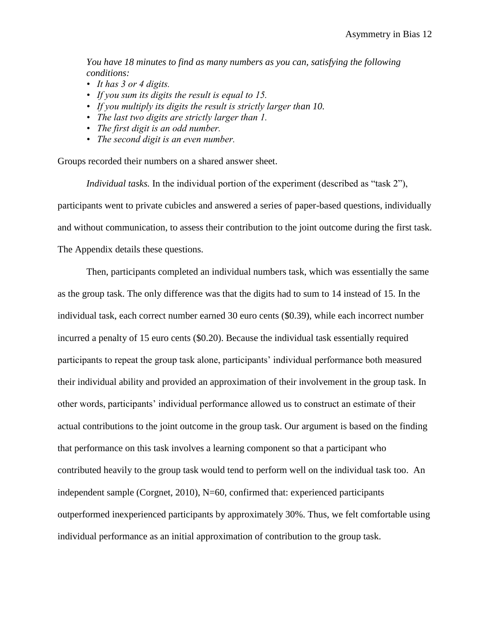*You have 18 minutes to find as many numbers as you can, satisfying the following conditions:*

- *It has 3 or 4 digits.*
- *If you sum its digits the result is equal to 15.*
- *If you multiply its digits the result is strictly larger than 10.*
- *The last two digits are strictly larger than 1.*
- *The first digit is an odd number.*
- *The second digit is an even number.*

Groups recorded their numbers on a shared answer sheet.

*Individual tasks.* In the individual portion of the experiment (described as "task 2"), participants went to private cubicles and answered a series of paper-based questions, individually and without communication, to assess their contribution to the joint outcome during the first task. The Appendix details these questions.

Then, participants completed an individual numbers task, which was essentially the same as the group task. The only difference was that the digits had to sum to 14 instead of 15. In the individual task, each correct number earned 30 euro cents (\$0.39), while each incorrect number incurred a penalty of 15 euro cents (\$0.20). Because the individual task essentially required participants to repeat the group task alone, participants' individual performance both measured their individual ability and provided an approximation of their involvement in the group task. In other words, participants' individual performance allowed us to construct an estimate of their actual contributions to the joint outcome in the group task. Our argument is based on the finding that performance on this task involves a learning component so that a participant who contributed heavily to the group task would tend to perform well on the individual task too. An independent sample (Corgnet, 2010), N=60, confirmed that: experienced participants outperformed inexperienced participants by approximately 30%. Thus, we felt comfortable using individual performance as an initial approximation of contribution to the group task.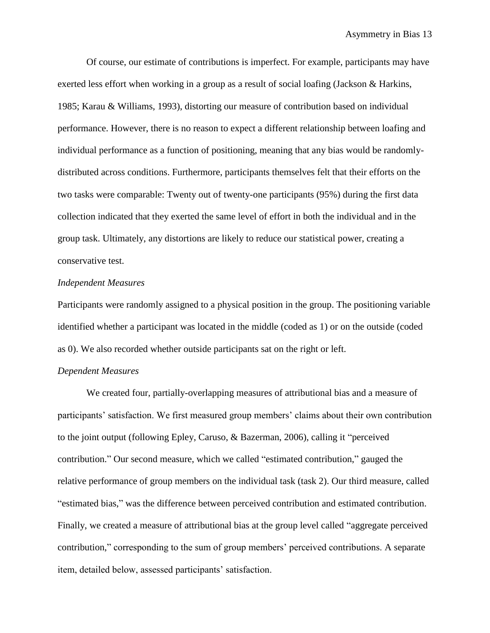Of course, our estimate of contributions is imperfect. For example, participants may have exerted less effort when working in a group as a result of social loafing (Jackson & Harkins, 1985; Karau & Williams, 1993), distorting our measure of contribution based on individual performance. However, there is no reason to expect a different relationship between loafing and individual performance as a function of positioning, meaning that any bias would be randomlydistributed across conditions. Furthermore, participants themselves felt that their efforts on the two tasks were comparable: Twenty out of twenty-one participants (95%) during the first data collection indicated that they exerted the same level of effort in both the individual and in the group task. Ultimately, any distortions are likely to reduce our statistical power, creating a conservative test.

#### *Independent Measures*

Participants were randomly assigned to a physical position in the group. The positioning variable identified whether a participant was located in the middle (coded as 1) or on the outside (coded as 0). We also recorded whether outside participants sat on the right or left.

#### *Dependent Measures*

We created four, partially-overlapping measures of attributional bias and a measure of participants' satisfaction. We first measured group members' claims about their own contribution to the joint output (following Epley, Caruso, & Bazerman, 2006), calling it "perceived contribution." Our second measure, which we called "estimated contribution," gauged the relative performance of group members on the individual task (task 2). Our third measure, called "estimated bias," was the difference between perceived contribution and estimated contribution. Finally, we created a measure of attributional bias at the group level called "aggregate perceived contribution," corresponding to the sum of group members' perceived contributions. A separate item, detailed below, assessed participants' satisfaction.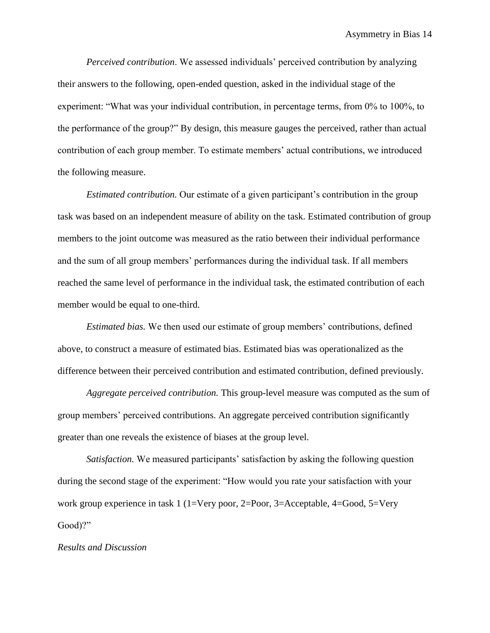*Perceived contribution*. We assessed individuals' perceived contribution by analyzing their answers to the following, open-ended question, asked in the individual stage of the experiment: "What was your individual contribution, in percentage terms, from 0% to 100%, to the performance of the group?" By design, this measure gauges the perceived, rather than actual contribution of each group member. To estimate members' actual contributions, we introduced the following measure.

*Estimated contribution.* Our estimate of a given participant's contribution in the group task was based on an independent measure of ability on the task. Estimated contribution of group members to the joint outcome was measured as the ratio between their individual performance and the sum of all group members' performances during the individual task. If all members reached the same level of performance in the individual task, the estimated contribution of each member would be equal to one-third.

*Estimated bias.* We then used our estimate of group members' contributions, defined above, to construct a measure of estimated bias. Estimated bias was operationalized as the difference between their perceived contribution and estimated contribution, defined previously.

*Aggregate perceived contribution.* This group-level measure was computed as the sum of group members' perceived contributions. An aggregate perceived contribution significantly greater than one reveals the existence of biases at the group level.

*Satisfaction.* We measured participants' satisfaction by asking the following question during the second stage of the experiment: "How would you rate your satisfaction with your work group experience in task 1 (1=Very poor, 2=Poor, 3=Acceptable, 4=Good, 5=Very Good)?"

#### *Results and Discussion*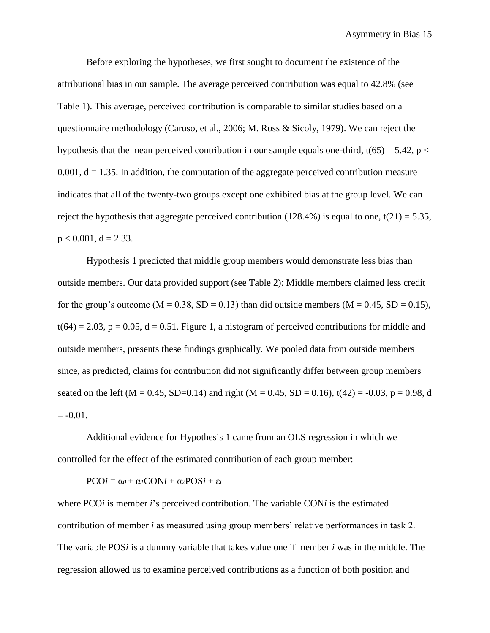Before exploring the hypotheses, we first sought to document the existence of the attributional bias in our sample. The average perceived contribution was equal to 42.8% (see Table 1). This average, perceived contribution is comparable to similar studies based on a questionnaire methodology (Caruso, et al., 2006; M. Ross & Sicoly, 1979). We can reject the hypothesis that the mean perceived contribution in our sample equals one-third,  $t(65) = 5.42$ , p <  $0.001$ ,  $d = 1.35$ . In addition, the computation of the aggregate perceived contribution measure indicates that all of the twenty-two groups except one exhibited bias at the group level. We can reject the hypothesis that aggregate perceived contribution (128.4%) is equal to one,  $t(21) = 5.35$ ,  $p < 0.001$ ,  $d = 2.33$ .

Hypothesis 1 predicted that middle group members would demonstrate less bias than outside members. Our data provided support (see Table 2): Middle members claimed less credit for the group's outcome ( $M = 0.38$ ,  $SD = 0.13$ ) than did outside members ( $M = 0.45$ ,  $SD = 0.15$ ),  $t(64) = 2.03$ ,  $p = 0.05$ ,  $d = 0.51$ . Figure 1, a histogram of perceived contributions for middle and outside members, presents these findings graphically. We pooled data from outside members since, as predicted, claims for contribution did not significantly differ between group members seated on the left (M = 0.45, SD=0.14) and right (M = 0.45, SD = 0.16), t(42) = -0.03, p = 0.98, d  $= -0.01$ .

Additional evidence for Hypothesis 1 came from an OLS regression in which we controlled for the effect of the estimated contribution of each group member:

 $PCOi = \alpha_0 + \alpha_1 CONi + \alpha_2 POSi + \varepsilon_i$ 

where PCO*i* is member *i*'s perceived contribution. The variable CON*i* is the estimated contribution of member *i* as measured using group members' relative performances in task 2. The variable POS*i* is a dummy variable that takes value one if member *i* was in the middle. The regression allowed us to examine perceived contributions as a function of both position and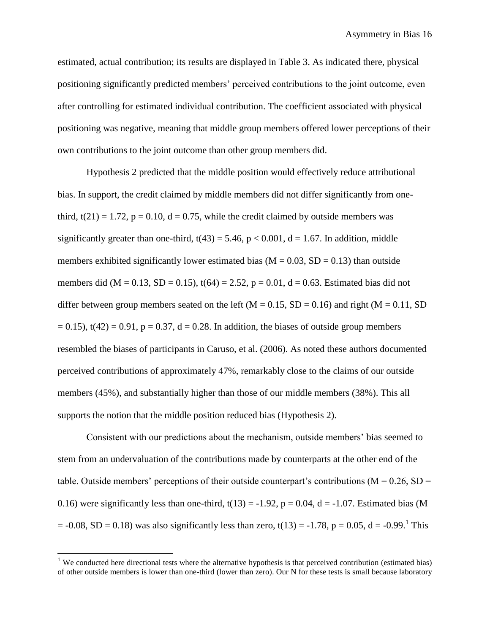estimated, actual contribution; its results are displayed in Table 3. As indicated there, physical positioning significantly predicted members' perceived contributions to the joint outcome, even after controlling for estimated individual contribution. The coefficient associated with physical positioning was negative, meaning that middle group members offered lower perceptions of their own contributions to the joint outcome than other group members did.

Hypothesis 2 predicted that the middle position would effectively reduce attributional bias. In support, the credit claimed by middle members did not differ significantly from onethird,  $t(21) = 1.72$ ,  $p = 0.10$ ,  $d = 0.75$ , while the credit claimed by outside members was significantly greater than one-third,  $t(43) = 5.46$ ,  $p < 0.001$ ,  $d = 1.67$ . In addition, middle members exhibited significantly lower estimated bias ( $M = 0.03$ ,  $SD = 0.13$ ) than outside members did (M = 0.13, SD = 0.15),  $t(64) = 2.52$ ,  $p = 0.01$ ,  $d = 0.63$ . Estimated bias did not differ between group members seated on the left ( $M = 0.15$ ,  $SD = 0.16$ ) and right ( $M = 0.11$ , SD  $= 0.15$ ), t(42) = 0.91, p = 0.37, d = 0.28. In addition, the biases of outside group members resembled the biases of participants in Caruso, et al. (2006). As noted these authors documented perceived contributions of approximately 47%, remarkably close to the claims of our outside members (45%), and substantially higher than those of our middle members (38%). This all supports the notion that the middle position reduced bias (Hypothesis 2).

Consistent with our predictions about the mechanism, outside members' bias seemed to stem from an undervaluation of the contributions made by counterparts at the other end of the table. Outside members' perceptions of their outside counterpart's contributions ( $M = 0.26$ ,  $SD =$ 0.16) were significantly less than one-third,  $t(13) = -1.92$ ,  $p = 0.04$ ,  $d = -1.07$ . Estimated bias (M  $= -0.08$ , SD  $= 0.18$ ) was also significantly less than zero, t(13)  $= -1.78$ , p  $= 0.05$ , d  $= -0.99$ .<sup>1</sup> This

 $\overline{a}$ 

<sup>&</sup>lt;sup>1</sup> We conducted here directional tests where the alternative hypothesis is that perceived contribution (estimated bias) of other outside members is lower than one-third (lower than zero). Our N for these tests is small because laboratory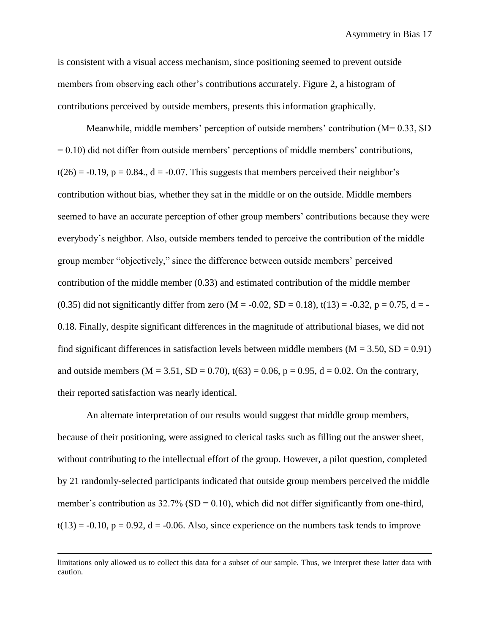is consistent with a visual access mechanism, since positioning seemed to prevent outside members from observing each other's contributions accurately. Figure 2, a histogram of contributions perceived by outside members, presents this information graphically.

Meanwhile, middle members' perception of outside members' contribution (M= 0.33, SD  $= 0.10$ ) did not differ from outside members' perceptions of middle members' contributions,  $t(26) = -0.19$ ,  $p = 0.84$ .,  $d = -0.07$ . This suggests that members perceived their neighbor's contribution without bias, whether they sat in the middle or on the outside. Middle members seemed to have an accurate perception of other group members' contributions because they were everybody's neighbor. Also, outside members tended to perceive the contribution of the middle group member "objectively," since the difference between outside members' perceived contribution of the middle member (0.33) and estimated contribution of the middle member (0.35) did not significantly differ from zero (M = -0.02, SD = 0.18), t(13) = -0.32, p = 0.75, d = -0.18. Finally, despite significant differences in the magnitude of attributional biases, we did not find significant differences in satisfaction levels between middle members ( $M = 3.50$ ,  $SD = 0.91$ ) and outside members ( $M = 3.51$ ,  $SD = 0.70$ ),  $t(63) = 0.06$ ,  $p = 0.95$ ,  $d = 0.02$ . On the contrary, their reported satisfaction was nearly identical.

An alternate interpretation of our results would suggest that middle group members, because of their positioning, were assigned to clerical tasks such as filling out the answer sheet, without contributing to the intellectual effort of the group. However, a pilot question, completed by 21 randomly-selected participants indicated that outside group members perceived the middle member's contribution as  $32.7\%$  (SD = 0.10), which did not differ significantly from one-third,  $t(13) = -0.10$ ,  $p = 0.92$ ,  $d = -0.06$ . Also, since experience on the numbers task tends to improve

 $\overline{a}$ 

limitations only allowed us to collect this data for a subset of our sample. Thus, we interpret these latter data with caution.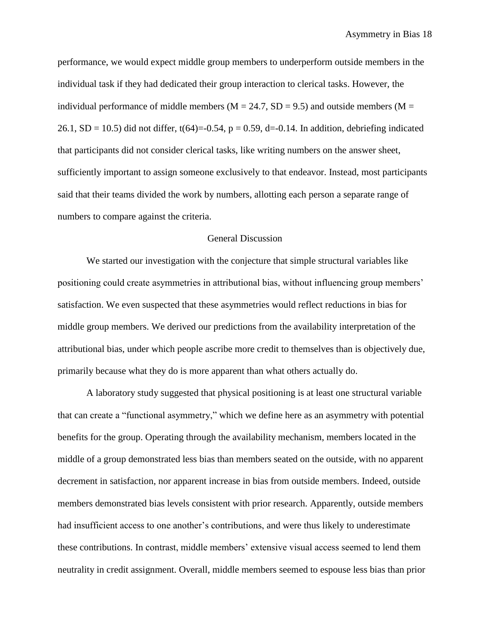performance, we would expect middle group members to underperform outside members in the individual task if they had dedicated their group interaction to clerical tasks. However, the individual performance of middle members ( $M = 24.7$ , SD = 9.5) and outside members ( $M =$ 26.1, SD = 10.5) did not differ, t(64)=-0.54, p = 0.59, d=-0.14. In addition, debriefing indicated that participants did not consider clerical tasks, like writing numbers on the answer sheet, sufficiently important to assign someone exclusively to that endeavor. Instead, most participants said that their teams divided the work by numbers, allotting each person a separate range of numbers to compare against the criteria.

#### General Discussion

We started our investigation with the conjecture that simple structural variables like positioning could create asymmetries in attributional bias, without influencing group members' satisfaction. We even suspected that these asymmetries would reflect reductions in bias for middle group members. We derived our predictions from the availability interpretation of the attributional bias, under which people ascribe more credit to themselves than is objectively due, primarily because what they do is more apparent than what others actually do.

A laboratory study suggested that physical positioning is at least one structural variable that can create a "functional asymmetry," which we define here as an asymmetry with potential benefits for the group. Operating through the availability mechanism, members located in the middle of a group demonstrated less bias than members seated on the outside, with no apparent decrement in satisfaction, nor apparent increase in bias from outside members. Indeed, outside members demonstrated bias levels consistent with prior research. Apparently, outside members had insufficient access to one another's contributions, and were thus likely to underestimate these contributions. In contrast, middle members' extensive visual access seemed to lend them neutrality in credit assignment. Overall, middle members seemed to espouse less bias than prior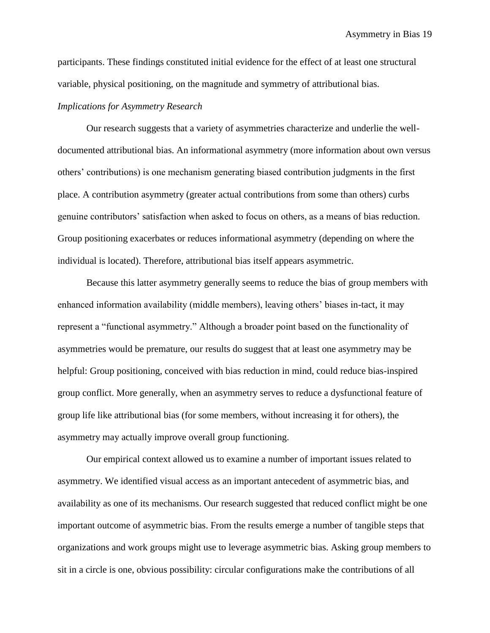participants. These findings constituted initial evidence for the effect of at least one structural variable, physical positioning, on the magnitude and symmetry of attributional bias.

#### *Implications for Asymmetry Research*

Our research suggests that a variety of asymmetries characterize and underlie the welldocumented attributional bias. An informational asymmetry (more information about own versus others' contributions) is one mechanism generating biased contribution judgments in the first place. A contribution asymmetry (greater actual contributions from some than others) curbs genuine contributors' satisfaction when asked to focus on others, as a means of bias reduction. Group positioning exacerbates or reduces informational asymmetry (depending on where the individual is located). Therefore, attributional bias itself appears asymmetric.

Because this latter asymmetry generally seems to reduce the bias of group members with enhanced information availability (middle members), leaving others' biases in-tact, it may represent a "functional asymmetry." Although a broader point based on the functionality of asymmetries would be premature, our results do suggest that at least one asymmetry may be helpful: Group positioning, conceived with bias reduction in mind, could reduce bias-inspired group conflict. More generally, when an asymmetry serves to reduce a dysfunctional feature of group life like attributional bias (for some members, without increasing it for others), the asymmetry may actually improve overall group functioning.

Our empirical context allowed us to examine a number of important issues related to asymmetry. We identified visual access as an important antecedent of asymmetric bias, and availability as one of its mechanisms. Our research suggested that reduced conflict might be one important outcome of asymmetric bias. From the results emerge a number of tangible steps that organizations and work groups might use to leverage asymmetric bias. Asking group members to sit in a circle is one, obvious possibility: circular configurations make the contributions of all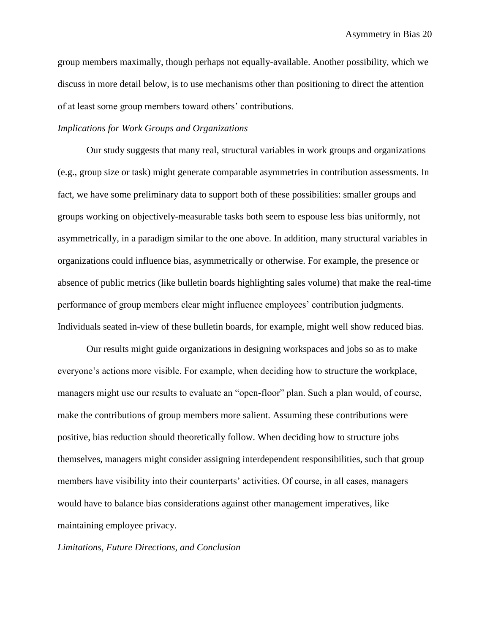group members maximally, though perhaps not equally-available. Another possibility, which we discuss in more detail below, is to use mechanisms other than positioning to direct the attention of at least some group members toward others' contributions.

#### *Implications for Work Groups and Organizations*

Our study suggests that many real, structural variables in work groups and organizations (e.g., group size or task) might generate comparable asymmetries in contribution assessments. In fact, we have some preliminary data to support both of these possibilities: smaller groups and groups working on objectively-measurable tasks both seem to espouse less bias uniformly, not asymmetrically, in a paradigm similar to the one above. In addition, many structural variables in organizations could influence bias, asymmetrically or otherwise. For example, the presence or absence of public metrics (like bulletin boards highlighting sales volume) that make the real-time performance of group members clear might influence employees' contribution judgments. Individuals seated in-view of these bulletin boards, for example, might well show reduced bias.

Our results might guide organizations in designing workspaces and jobs so as to make everyone's actions more visible. For example, when deciding how to structure the workplace, managers might use our results to evaluate an "open-floor" plan. Such a plan would, of course, make the contributions of group members more salient. Assuming these contributions were positive, bias reduction should theoretically follow. When deciding how to structure jobs themselves, managers might consider assigning interdependent responsibilities, such that group members have visibility into their counterparts' activities. Of course, in all cases, managers would have to balance bias considerations against other management imperatives, like maintaining employee privacy.

#### *Limitations, Future Directions, and Conclusion*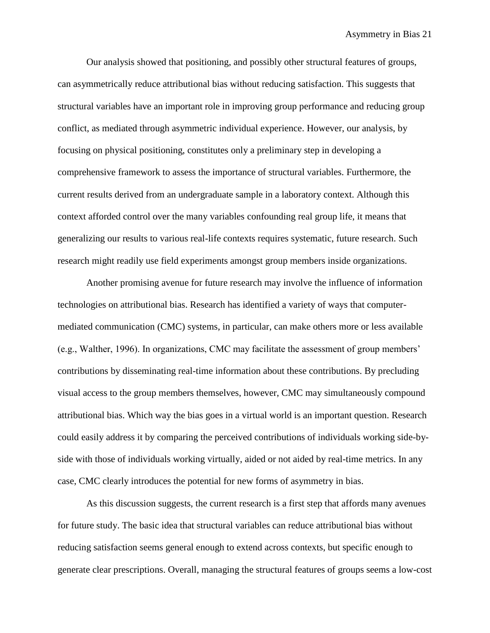Our analysis showed that positioning, and possibly other structural features of groups, can asymmetrically reduce attributional bias without reducing satisfaction. This suggests that structural variables have an important role in improving group performance and reducing group conflict, as mediated through asymmetric individual experience. However, our analysis, by focusing on physical positioning, constitutes only a preliminary step in developing a comprehensive framework to assess the importance of structural variables. Furthermore, the current results derived from an undergraduate sample in a laboratory context. Although this context afforded control over the many variables confounding real group life, it means that generalizing our results to various real-life contexts requires systematic, future research. Such research might readily use field experiments amongst group members inside organizations.

Another promising avenue for future research may involve the influence of information technologies on attributional bias. Research has identified a variety of ways that computermediated communication (CMC) systems, in particular, can make others more or less available (e.g., Walther, 1996). In organizations, CMC may facilitate the assessment of group members' contributions by disseminating real-time information about these contributions. By precluding visual access to the group members themselves, however, CMC may simultaneously compound attributional bias. Which way the bias goes in a virtual world is an important question. Research could easily address it by comparing the perceived contributions of individuals working side-byside with those of individuals working virtually, aided or not aided by real-time metrics. In any case, CMC clearly introduces the potential for new forms of asymmetry in bias.

As this discussion suggests, the current research is a first step that affords many avenues for future study. The basic idea that structural variables can reduce attributional bias without reducing satisfaction seems general enough to extend across contexts, but specific enough to generate clear prescriptions. Overall, managing the structural features of groups seems a low-cost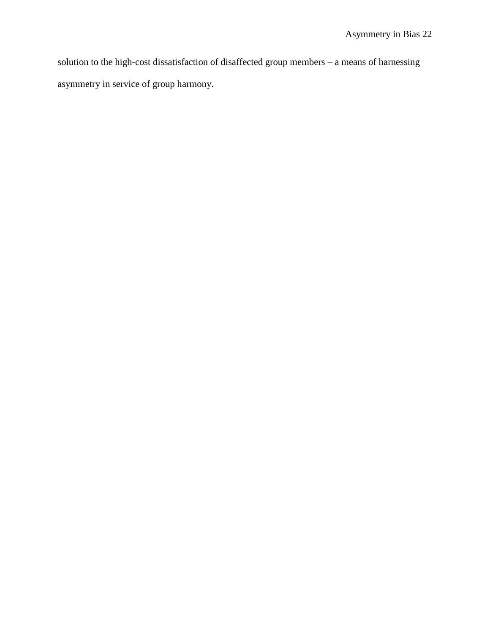solution to the high-cost dissatisfaction of disaffected group members – a means of harnessing asymmetry in service of group harmony.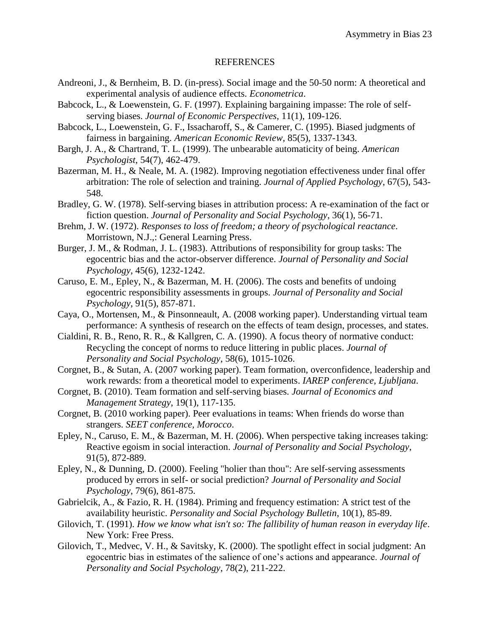#### REFERENCES

- Andreoni, J., & Bernheim, B. D. (in-press). Social image and the 50-50 norm: A theoretical and experimental analysis of audience effects. *Econometrica*.
- Babcock, L., & Loewenstein, G. F. (1997). Explaining bargaining impasse: The role of selfserving biases. *Journal of Economic Perspectives*, 11(1), 109-126.
- Babcock, L., Loewenstein, G. F., Issacharoff, S., & Camerer, C. (1995). Biased judgments of fairness in bargaining. *American Economic Review*, 85(5), 1337-1343.
- Bargh, J. A., & Chartrand, T. L. (1999). The unbearable automaticity of being. *American Psychologist*, 54(7), 462-479.
- Bazerman, M. H., & Neale, M. A. (1982). Improving negotiation effectiveness under final offer arbitration: The role of selection and training. *Journal of Applied Psychology*, 67(5), 543- 548.
- Bradley, G. W. (1978). Self-serving biases in attribution process: A re-examination of the fact or fiction question. *Journal of Personality and Social Psychology*, 36(1), 56-71.
- Brehm, J. W. (1972). *Responses to loss of freedom; a theory of psychological reactance*. Morristown, N.J.,: General Learning Press.
- Burger, J. M., & Rodman, J. L. (1983). Attributions of responsibility for group tasks: The egocentric bias and the actor-observer difference. *Journal of Personality and Social Psychology*, 45(6), 1232-1242.
- Caruso, E. M., Epley, N., & Bazerman, M. H. (2006). The costs and benefits of undoing egocentric responsibility assessments in groups. *Journal of Personality and Social Psychology*, 91(5), 857-871.
- Caya, O., Mortensen, M., & Pinsonneault, A. (2008 working paper). Understanding virtual team performance: A synthesis of research on the effects of team design, processes, and states.
- Cialdini, R. B., Reno, R. R., & Kallgren, C. A. (1990). A focus theory of normative conduct: Recycling the concept of norms to reduce littering in public places. *Journal of Personality and Social Psychology*, 58(6), 1015-1026.
- Corgnet, B., & Sutan, A. (2007 working paper). Team formation, overconfidence, leadership and work rewards: from a theoretical model to experiments. *IAREP conference, Ljubljana*.
- Corgnet, B. (2010). Team formation and self-serving biases. *Journal of Economics and Management Strategy*, 19(1), 117-135.
- Corgnet, B. (2010 working paper). Peer evaluations in teams: When friends do worse than strangers. *SEET conference, Morocco*.
- Epley, N., Caruso, E. M., & Bazerman, M. H. (2006). When perspective taking increases taking: Reactive egoism in social interaction. *Journal of Personality and Social Psychology*, 91(5), 872-889.
- Epley, N., & Dunning, D. (2000). Feeling "holier than thou": Are self-serving assessments produced by errors in self- or social prediction? *Journal of Personality and Social Psychology*, 79(6), 861-875.
- Gabrielcik, A., & Fazio, R. H. (1984). Priming and frequency estimation: A strict test of the availability heuristic. *Personality and Social Psychology Bulletin*, 10(1), 85-89.
- Gilovich, T. (1991). *How we know what isn't so: The fallibility of human reason in everyday life*. New York: Free Press.
- Gilovich, T., Medvec, V. H., & Savitsky, K. (2000). The spotlight effect in social judgment: An egocentric bias in estimates of the salience of one's actions and appearance. *Journal of Personality and Social Psychology*, 78(2), 211-222.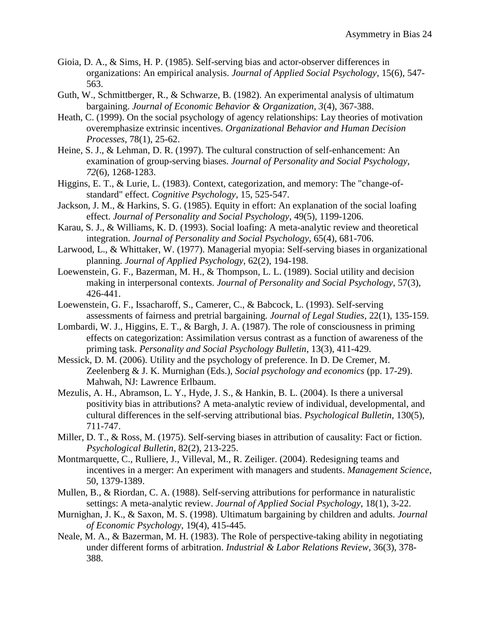- Gioia, D. A., & Sims, H. P. (1985). Self-serving bias and actor-observer differences in organizations: An empirical analysis. *Journal of Applied Social Psychology*, 15(6), 547- 563.
- Guth, W., Schmittberger, R., & Schwarze, B. (1982). An experimental analysis of ultimatum bargaining. *Journal of Economic Behavior & Organization, 3*(4), 367-388.
- Heath, C. (1999). On the social psychology of agency relationships: Lay theories of motivation overemphasize extrinsic incentives. *Organizational Behavior and Human Decision Processes*, 78(1), 25-62.
- Heine, S. J., & Lehman, D. R. (1997). The cultural construction of self-enhancement: An examination of group-serving biases. *Journal of Personality and Social Psychology, 72*(6), 1268-1283.
- Higgins, E. T., & Lurie, L. (1983). Context, categorization, and memory: The "change-ofstandard" effect. *Cognitive Psychology*, 15, 525-547.
- Jackson, J. M., & Harkins, S. G. (1985). Equity in effort: An explanation of the social loafing effect. *Journal of Personality and Social Psychology*, 49(5), 1199-1206.
- Karau, S. J., & Williams, K. D. (1993). Social loafing: A meta-analytic review and theoretical integration. *Journal of Personality and Social Psychology*, 65(4), 681-706.
- Larwood, L., & Whittaker, W. (1977). Managerial myopia: Self-serving biases in organizational planning. *Journal of Applied Psychology*, 62(2), 194-198.
- Loewenstein, G. F., Bazerman, M. H., & Thompson, L. L. (1989). Social utility and decision making in interpersonal contexts. *Journal of Personality and Social Psychology*, 57(3), 426-441.
- Loewenstein, G. F., Issacharoff, S., Camerer, C., & Babcock, L. (1993). Self-serving assessments of fairness and pretrial bargaining. *Journal of Legal Studies*, 22(1), 135-159.
- Lombardi, W. J., Higgins, E. T., & Bargh, J. A. (1987). The role of consciousness in priming effects on categorization: Assimilation versus contrast as a function of awareness of the priming task. *Personality and Social Psychology Bulletin*, 13(3), 411-429.
- Messick, D. M. (2006). Utility and the psychology of preference. In D. De Cremer, M. Zeelenberg & J. K. Murnighan (Eds.), *Social psychology and economics* (pp. 17-29). Mahwah, NJ: Lawrence Erlbaum.
- Mezulis, A. H., Abramson, L. Y., Hyde, J. S., & Hankin, B. L. (2004). Is there a universal positivity bias in attributions? A meta-analytic review of individual, developmental, and cultural differences in the self-serving attributional bias. *Psychological Bulletin*, 130(5), 711-747.
- Miller, D. T., & Ross, M. (1975). Self-serving biases in attribution of causality: Fact or fiction. *Psychological Bulletin*, 82(2), 213-225.
- Montmarquette, C., Rulliere, J., Villeval, M., R. Zeiliger. (2004). Redesigning teams and incentives in a merger: An experiment with managers and students. *Management Science*, 50, 1379-1389.
- Mullen, B., & Riordan, C. A. (1988). Self-serving attributions for performance in naturalistic settings: A meta-analytic review. *Journal of Applied Social Psychology*, 18(1), 3-22.
- Murnighan, J. K., & Saxon, M. S. (1998). Ultimatum bargaining by children and adults. *Journal of Economic Psychology*, 19(4), 415-445.
- Neale, M. A., & Bazerman, M. H. (1983). The Role of perspective-taking ability in negotiating under different forms of arbitration. *Industrial & Labor Relations Review*, 36(3), 378- 388.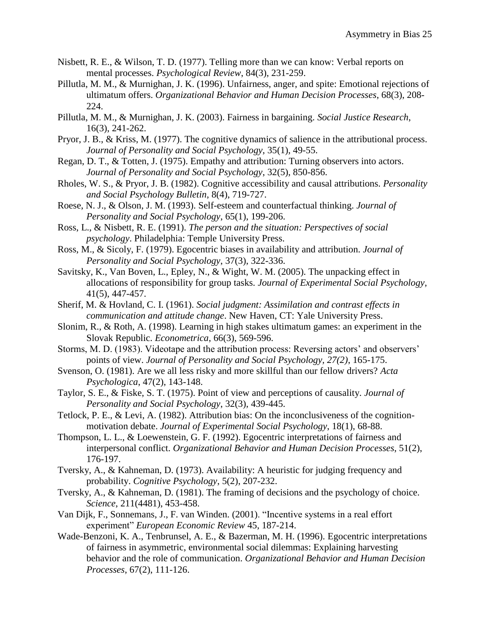- Nisbett, R. E., & Wilson, T. D. (1977). Telling more than we can know: Verbal reports on mental processes. *Psychological Review*, 84(3), 231-259.
- Pillutla, M. M., & Murnighan, J. K. (1996). Unfairness, anger, and spite: Emotional rejections of ultimatum offers. *Organizational Behavior and Human Decision Processes*, 68(3), 208- 224.
- Pillutla, M. M., & Murnighan, J. K. (2003). Fairness in bargaining. *Social Justice Research*, 16(3), 241-262.
- Pryor, J. B., & Kriss, M. (1977). The cognitive dynamics of salience in the attributional process. *Journal of Personality and Social Psychology*, 35(1), 49-55.
- Regan, D. T., & Totten, J. (1975). Empathy and attribution: Turning observers into actors. *Journal of Personality and Social Psychology*, 32(5), 850-856.
- Rholes, W. S., & Pryor, J. B. (1982). Cognitive accessibility and causal attributions. *Personality and Social Psychology Bulletin*, 8(4), 719-727.
- Roese, N. J., & Olson, J. M. (1993). Self-esteem and counterfactual thinking. *Journal of Personality and Social Psychology*, 65(1), 199-206.
- Ross, L., & Nisbett, R. E. (1991). *The person and the situation: Perspectives of social psychology*. Philadelphia: Temple University Press.
- Ross, M., & Sicoly, F. (1979). Egocentric biases in availability and attribution. *Journal of Personality and Social Psychology*, 37(3), 322-336.
- Savitsky, K., Van Boven, L., Epley, N., & Wight, W. M. (2005). The unpacking effect in allocations of responsibility for group tasks. *Journal of Experimental Social Psychology*, 41(5), 447-457.
- Sherif, M. & Hovland, C. I. (1961). *Social judgment: Assimilation and contrast effects in communication and attitude change*. New Haven, CT: Yale University Press.
- Slonim, R., & Roth, A. (1998). Learning in high stakes ultimatum games: an experiment in the Slovak Republic. *Econometrica*, 66(3), 569-596.
- Storms, M. D. (1983). Videotape and the attribution process: Reversing actors' and observers' points of view. *Journal of Personality and Social Psychology, 27(2)*, 165-175.
- Svenson, O. (1981). Are we all less risky and more skillful than our fellow drivers? *Acta Psychologica*, 47(2), 143-148.
- Taylor, S. E., & Fiske, S. T. (1975). Point of view and perceptions of causality. *Journal of Personality and Social Psychology*, 32(3), 439-445.
- Tetlock, P. E., & Levi, A. (1982). Attribution bias: On the inconclusiveness of the cognitionmotivation debate. *Journal of Experimental Social Psychology*, 18(1), 68-88.
- Thompson, L. L., & Loewenstein, G. F. (1992). Egocentric interpretations of fairness and interpersonal conflict. *Organizational Behavior and Human Decision Processes*, 51(2), 176-197.
- Tversky, A., & Kahneman, D. (1973). Availability: A heuristic for judging frequency and probability. *Cognitive Psychology*, 5(2), 207-232.
- Tversky, A., & Kahneman, D. (1981). The framing of decisions and the psychology of choice. *Science*, 211(4481), 453-458.
- Van Dijk, F., Sonnemans, J., F. van Winden. (2001). "Incentive systems in a real effort experiment" *European Economic Review* 45, 187-214.
- Wade-Benzoni, K. A., Tenbrunsel, A. E., & Bazerman, M. H. (1996). Egocentric interpretations of fairness in asymmetric, environmental social dilemmas: Explaining harvesting behavior and the role of communication. *Organizational Behavior and Human Decision Processes*, 67(2), 111-126.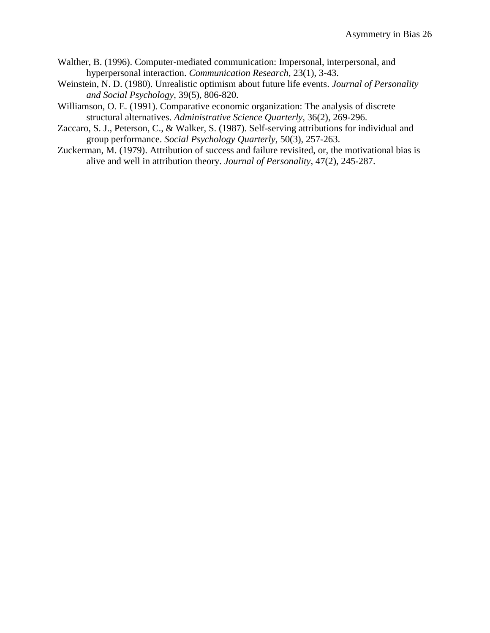- Walther, B. (1996). Computer-mediated communication: Impersonal, interpersonal, and hyperpersonal interaction. *Communication Research*, 23(1), 3-43.
- Weinstein, N. D. (1980). Unrealistic optimism about future life events. *Journal of Personality and Social Psychology*, 39(5), 806-820.
- Williamson, O. E. (1991). Comparative economic organization: The analysis of discrete structural alternatives. *Administrative Science Quarterly*, 36(2), 269-296.
- Zaccaro, S. J., Peterson, C., & Walker, S. (1987). Self-serving attributions for individual and group performance. *Social Psychology Quarterly*, 50(3), 257-263.
- Zuckerman, M. (1979). Attribution of success and failure revisited, or, the motivational bias is alive and well in attribution theory. *Journal of Personality*, 47(2), 245-287.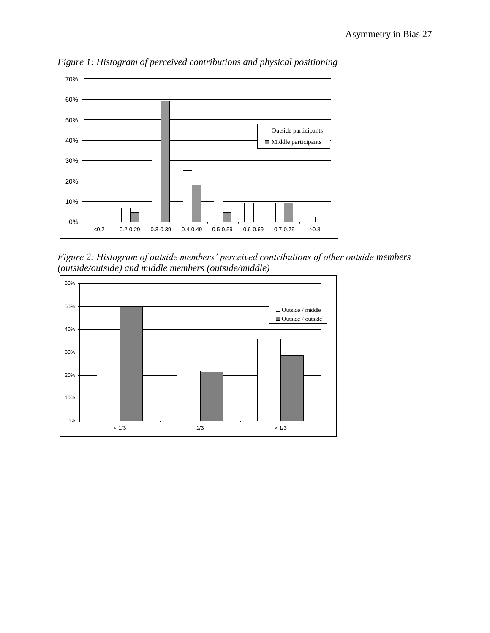

*Figure 1: Histogram of perceived contributions and physical positioning*

*Figure 2: Histogram of outside members' perceived contributions of other outside members (outside/outside) and middle members (outside/middle)*

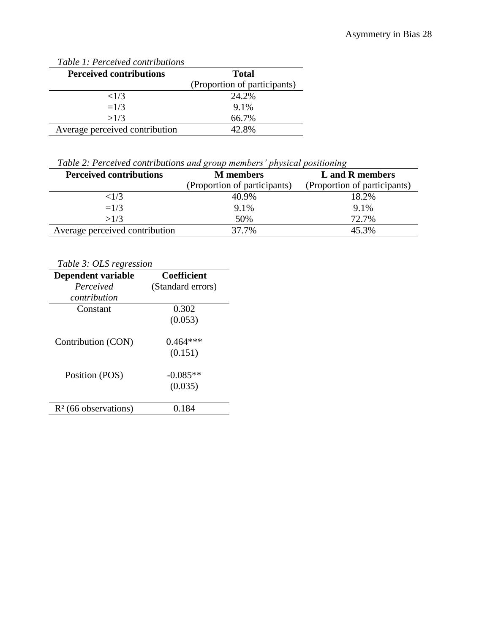| Table 1: Percelved contributions |                              |
|----------------------------------|------------------------------|
| <b>Perceived contributions</b>   | <b>Total</b>                 |
|                                  | (Proportion of participants) |
| ${<}1/3$                         | 24.2%                        |
| $=1/3$                           | 9.1%                         |
| >1/3                             | 66.7%                        |
| Average perceived contribution   | 42.8%                        |

*Table 1: Perceived contributions* 

*Table 2: Perceived contributions and group members' physical positioning*

| <b>Perceived contributions</b> | <b>M</b> members             | L and R members              |
|--------------------------------|------------------------------|------------------------------|
|                                | (Proportion of participants) | (Proportion of participants) |
| ${<}1/3$                       | 40.9%                        | 18.2%                        |
| $=1/3$                         | 9.1%                         | 9.1%                         |
| >1/3                           | 50%                          | 72.7%                        |
| Average perceived contribution | 37.7%                        | 45.3%                        |

| Table 3: OLS regression |                    |  |
|-------------------------|--------------------|--|
| Dependent variable      | <b>Coefficient</b> |  |
| Perceived               | (Standard errors)  |  |
| contribution            |                    |  |
| Constant                | 0.302              |  |
|                         | (0.053)            |  |
| Contribution (CON)      | $0.464***$         |  |
|                         | (0.151)            |  |
| Position (POS)          | $-0.085**$         |  |
|                         | (0.035)            |  |
| $R2$ (66 observations)  | 0.184              |  |